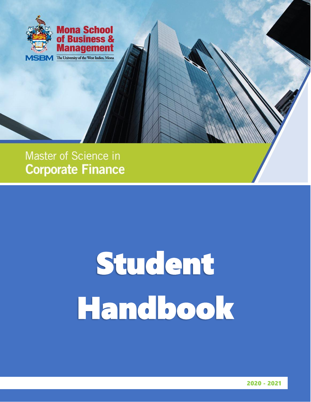

### Master of Science in **Corporate Finance**

# Student Handbook

2020 - 2021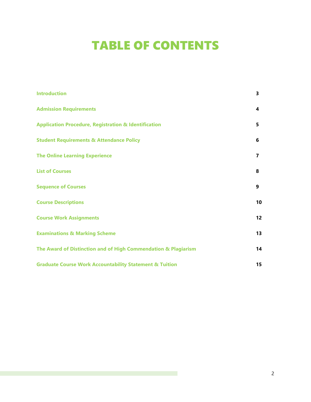# TABLE OF CONTENTS

| <b>Introduction</b>                                                | 3  |
|--------------------------------------------------------------------|----|
| <b>Admission Requirements</b>                                      | 4  |
| <b>Application Procedure, Registration &amp; Identification</b>    | 5  |
| <b>Student Requirements &amp; Attendance Policy</b>                | 6  |
| <b>The Online Learning Experience</b>                              | 7  |
| <b>List of Courses</b>                                             | 8  |
| <b>Sequence of Courses</b>                                         | 9  |
| <b>Course Descriptions</b>                                         | 10 |
| <b>Course Work Assignments</b>                                     | 12 |
| <b>Examinations &amp; Marking Scheme</b>                           | 13 |
| The Award of Distinction and of High Commendation & Plagiarism     | 14 |
| <b>Graduate Course Work Accountability Statement &amp; Tuition</b> | 15 |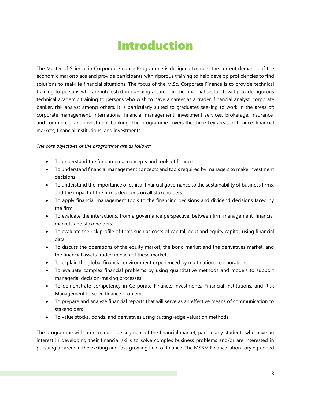### Introduction

The Master of Science in Corporate Finance Programme is designed to meet the current demands of the economic marketplace and provide participants with rigorous training to help develop proficiencies to find solutions to real-life financial situations. The focus of the M.Sc. Corporate Finance is to provide technical training to persons who are interested in pursuing a career in the financial sector. It will provide rigorous technical academic training to persons who wish to have a career as a trader, financial analyst, corporate banker, risk analyst among others. It is particularly suited to graduates seeking to work in the areas of: corporate management, international financial management, investment services, brokerage, insurance, and commercial and investment banking. The programme covers the three key areas of finance: financial markets, financial institutions, and investments.

#### *The core objectives of the programme are as follows:*

- To understand the fundamental concepts and tools of finance.
- To understand financial management concepts and tools required by managers to make investment decisions.
- To understand the importance of ethical financial governance to the sustainability of business firms, and the impact of the firm's decisions on all stakeholders.
- To apply financial management tools to the financing decisions and dividend decisions faced by the firm.
- To evaluate the interactions, from a governance perspective, between firm management, financial markets and stakeholders.
- To evaluate the risk profile of firms such as costs of capital, debt and equity capital, using financial data.
- To discuss the operations of the equity market, the bond market and the derivatives market, and the financial assets traded in each of these markets.
- To explain the global financial environment experienced by multinational corporations
- To evaluate complex financial problems by using quantitative methods and models to support managerial decision-making processes
- To demonstrate competency in Corporate Finance, Investments, Financial Institutions, and Risk Management to solve finance problems
- To prepare and analyze financial reports that will serve as an effective means of communication to stakeholders
- To value stocks, bonds, and derivatives using cutting-edge valuation methods

The programme will cater to a unique segment of the financial market, particularly students who have an interest in developing their financial skills to solve complex business problems and/or are interested in pursuing a career in the exciting and fast-growing field of finance. The MSBM Finance laboratory equipped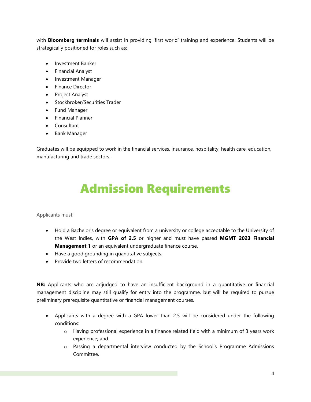with **Bloomberg terminals** will assist in providing 'first world' training and experience. Students will be strategically positioned for roles such as:

- Investment Banker
- Financial Analyst
- Investment Manager
- Finance Director
- Project Analyst
- Stockbroker/Securities Trader
- Fund Manager
- Financial Planner
- Consultant
- Bank Manager

Graduates will be equipped to work in the financial services, insurance, hospitality, health care, education, manufacturing and trade sectors.

# Admission Requirements

Applicants must:

- Hold a Bachelor's degree or equivalent from a university or college acceptable to the University of the West Indies, with **GPA of 2.5** or higher and must have passed **MGMT 2023 Financial Management 1** or an equivalent undergraduate finance course.
- Have a good grounding in quantitative subjects.
- Provide two letters of recommendation.

**NB:** Applicants who are adjudged to have an insufficient background in a quantitative or financial management discipline may still qualify for entry into the programme, but will be required to pursue preliminary prerequisite quantitative or financial management courses.

- Applicants with a degree with a GPA lower than 2.5 will be considered under the following conditions:
	- $\circ$  Having professional experience in a finance related field with a minimum of 3 years work experience; and
	- o Passing a departmental interview conducted by the School's Programme Admissions Committee.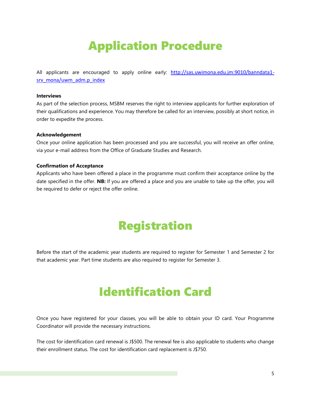# Application Procedure

All applicants are encouraged to apply online early: [http://sas.uwimona.edu.jm:9010/banndata1](http://sas.uwimona.edu.jm:9010/banndata1-srv_mona/uwm_adm.p_index) [srv\\_mona/uwm\\_adm.p\\_index](http://sas.uwimona.edu.jm:9010/banndata1-srv_mona/uwm_adm.p_index)

#### **Interviews**

As part of the selection process, MSBM reserves the right to interview applicants for further exploration of their qualifications and experience. You may therefore be called for an interview, possibly at short notice, in order to expedite the process.

#### **Acknowledgement**

Once your online application has been processed and you are successful, you will receive an offer online, via your e-mail address from the Office of Graduate Studies and Research.

#### **Confirmation of Acceptance**

Applicants who have been offered a place in the programme must confirm their acceptance online by the date specified in the offer. **NB:** If you are offered a place and you are unable to take up the offer, you will be required to defer or reject the offer online.

# Registration

Before the start of the academic year students are required to register for Semester 1 and Semester 2 for that academic year. Part time students are also required to register for Semester 3.

### Identification Card

Once you have registered for your classes, you will be able to obtain your ID card. Your Programme Coordinator will provide the necessary instructions.

The cost for identification card renewal is J\$500. The renewal fee is also applicable to students who change their enrollment status. The cost for identification card replacement is J\$750.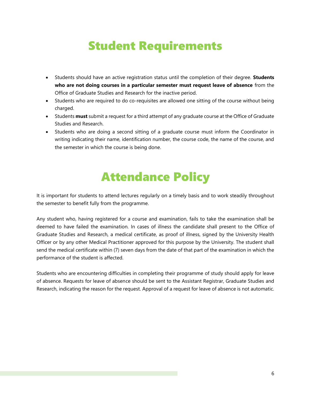### Student Requirements

- Students should have an active registration status until the completion of their degree. **Students who are not doing courses in a particular semester must request leave of absence** from the Office of Graduate Studies and Research for the inactive period.
- Students who are required to do co-requisites are allowed one sitting of the course without being charged.
- Students **must** submit a request for a third attempt of any graduate course at the Office of Graduate Studies and Research.
- Students who are doing a second sitting of a graduate course must inform the Coordinator in writing indicating their name, identification number, the course code, the name of the course, and the semester in which the course is being done.

# Attendance Policy

It is important for students to attend lectures regularly on a timely basis and to work steadily throughout the semester to benefit fully from the programme.

Any student who, having registered for a course and examination, fails to take the examination shall be deemed to have failed the examination. In cases of illness the candidate shall present to the Office of Graduate Studies and Research, a medical certificate, as proof of illness, signed by the University Health Officer or by any other Medical Practitioner approved for this purpose by the University. The student shall send the medical certificate within (7) seven days from the date of that part of the examination in which the performance of the student is affected.

Students who are encountering difficulties in completing their programme of study should apply for leave of absence. Requests for leave of absence should be sent to the Assistant Registrar, Graduate Studies and Research, indicating the reason for the request. Approval of a request for leave of absence is not automatic.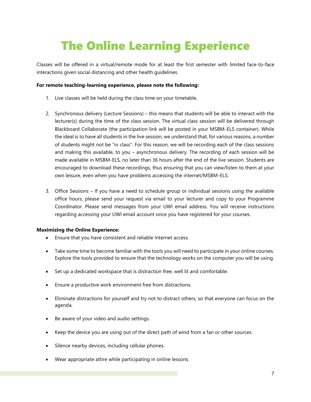# The Online Learning Experience

Classes will be offered in a virtual/remote mode for at least the first semester with limited face-to-face interactions given social distancing and other health guidelines.

#### **For remote teaching-learning experience, please note the following:**

- 1. Live classes will be held during the class time on your timetable.
- 2. Synchronous delivery (Lecture Sessions) this means that students will be able to interact with the lecturer(s) during the time of the class session. The virtual class session will be delivered through Blackboard Collaborate (the participation link will be posted in your MSBM-ELS container). While the ideal is to have all students in the live session, we understand that, for various reasons, a number of students might not be "in class". For this reason, we will be recording each of the class sessions and making this available, to you – asynchronous delivery. The recording of each session will be made available in MSBM-ELS, no later than 36 hours after the end of the live session. Students are encouraged to download these recordings, thus ensuring that you can view/listen to them at your own leisure, even when you have problems accessing the internet/MSBM-ELS.
- 3. Office Sessions If you have a need to schedule group or individual sessions using the available office hours, please send your request via email to your lecturer and copy to your Programme Coordinator. Please send messages from your UWI email address. You will receive instructions regarding accessing your UWI email account once you have registered for your courses.

#### **Maximizing the Online Experience:**

- Ensure that you have consistent and reliable Internet access.
- Take some time to become familiar with the tools you will need to participate in your online courses. Explore the tools provided to ensure that the technology works on the computer you will be using.
- Set up a dedicated workspace that is distraction free, well lit and comfortable.
- Ensure a productive work environment free from distractions.
- Eliminate distractions for yourself and try not to distract others, so that everyone can focus on the agenda.
- Be aware of your video and audio settings.
- Keep the device you are using out of the direct path of wind from a fan or other sources.
- Silence nearby devices, including cellular phones.
- Wear appropriate attire while participating in online lessons.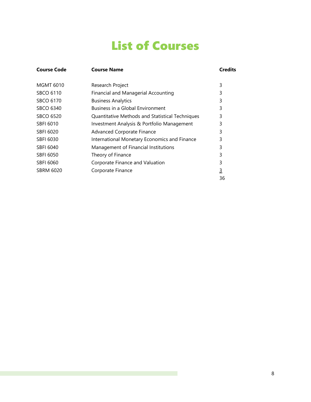# List of Courses

| Course Code      | <b>Course Name</b>                                     | <b>Credits</b> |  |
|------------------|--------------------------------------------------------|----------------|--|
| <b>MGMT 6010</b> | Research Project                                       | 3              |  |
| <b>SBCO 6110</b> | Financial and Managerial Accounting                    | 3              |  |
| SBCO 6170        | <b>Business Analytics</b>                              | 3              |  |
| SBCO 6340        | Business in a Global Environment                       | 3              |  |
| <b>SBCO 6520</b> | <b>Quantitative Methods and Statistical Techniques</b> | 3              |  |
| <b>SBFI 6010</b> | Investment Analysis & Portfolio Management             | 3              |  |
| SBFI 6020        | Advanced Corporate Finance                             | 3              |  |
| SBFI 6030        | International Monetary Economics and Finance           | 3              |  |
| SBFI 6040        | Management of Financial Institutions                   | 3              |  |
| SBFI 6050        | Theory of Finance                                      | 3              |  |
| SBFI 6060        | Corporate Finance and Valuation                        | 3              |  |
| SBRM 6020        | Corporate Finance                                      | <u>3</u>       |  |
|                  |                                                        | 36             |  |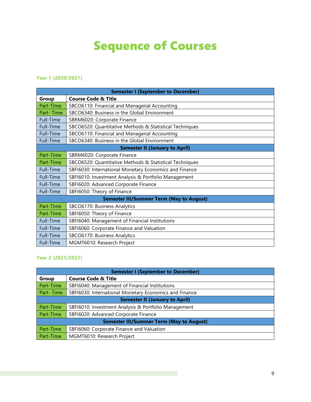# Sequence of Courses

#### **Year 1 (2020/2021)**

| <b>Semester I (September to December)</b>       |                                                         |  |  |  |
|-------------------------------------------------|---------------------------------------------------------|--|--|--|
| Group                                           | <b>Course Code &amp; Title</b>                          |  |  |  |
| Part-Time                                       | SBCO6110: Financial and Managerial Accounting           |  |  |  |
| Part-Time                                       | SBCO6340: Business in the Global Environment            |  |  |  |
| Full-Time                                       | SBRM6020: Corporate Finance                             |  |  |  |
| Full-Time                                       | SBCO6520: Quantitative Methods & Statistical Techniques |  |  |  |
| Full-Time                                       | SBCO6110: Financial and Managerial Accounting           |  |  |  |
| Full-Time                                       | SBCO6340: Business in the Global Environment            |  |  |  |
| <b>Semester II (January to April)</b>           |                                                         |  |  |  |
| Part-Time                                       | SBRM6020: Corporate Finance                             |  |  |  |
| Part-Time                                       | SBCO6520: Quantitative Methods & Statistical Techniques |  |  |  |
| Full-Time                                       | SBFI6030: International Monetary Economics and Finance  |  |  |  |
| Full-Time                                       | SBFI6010: Investment Analysis & Portfolio Management    |  |  |  |
| Full-Time                                       | SBFI6020: Advanced Corporate Finance                    |  |  |  |
| Full-Time                                       | SBFI6050: Theory of Finance                             |  |  |  |
| <b>Semester III/Summer Term (May to August)</b> |                                                         |  |  |  |
| Part-Time                                       | SBCO6170: Business Analytics                            |  |  |  |
| Part-Time                                       | SBFI6050: Theory of Finance                             |  |  |  |
| Full-Time                                       | SBFI6040: Management of Financial Institutions          |  |  |  |
| Full-Time                                       | SBFI6060: Corporate Finance and Valuation               |  |  |  |
| Full-Time                                       | SBCO6170: Business Analytics                            |  |  |  |
| Full-Time                                       | MGMT6010: Research Project                              |  |  |  |

#### **Year 2 (2021/2022)**

| <b>Semester I (September to December)</b>       |                                                        |  |  |  |
|-------------------------------------------------|--------------------------------------------------------|--|--|--|
| <b>Group</b>                                    | <b>Course Code &amp; Title</b>                         |  |  |  |
| Part-Time                                       | SBFI6040: Management of Financial Institutions         |  |  |  |
| Part-Time                                       | SBFI6030: International Monetary Economics and Finance |  |  |  |
| <b>Semester II (January to April)</b>           |                                                        |  |  |  |
| Part-Time                                       | SBFI6010: Investment Analysis & Portfolio Management   |  |  |  |
| Part-Time                                       | SBFI6020: Advanced Corporate Finance                   |  |  |  |
| <b>Semester III/Summer Term (May to August)</b> |                                                        |  |  |  |
| Part-Time                                       | SBFI6060: Corporate Finance and Valuation              |  |  |  |
| Part-Time                                       | MGMT6010: Research Project                             |  |  |  |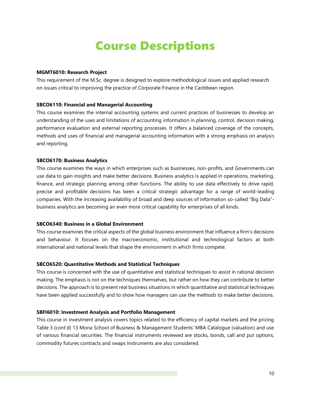### Course Descriptions

#### **MGMT6010: Research Project**

This requirement of the M.Sc. degree is designed to explore methodological issues and applied research on issues critical to improving the practice of Corporate Finance in the Caribbean region.

#### **SBCO6110: Financial and Managerial Accounting**

This course examines the internal accounting systems and current practices of businesses to develop an understanding of the uses and limitations of accounting information in planning, control, decision making, performance evaluation and external reporting processes. It offers a balanced coverage of the concepts, methods and uses of financial and managerial accounting information with a strong emphasis on analysis and reporting.

#### **SBCO6170: Business Analytics**

This course examines the ways in which enterprises such as businesses, non-profits, and Governments can use data to gain insights and make better decisions. Business analytics is applied in operations, marketing, finance, and strategic planning among other functions. The ability to use data effectively to drive rapid, precise and profitable decisions has been a critical strategic advantage for a range of world-leading companies. With the increasing availability of broad and deep sources of information so-called "Big Data" business analytics are becoming an even more critical capability for enterprises of all kinds.

#### **SBCO6340: Business in a Global Environment**

This course examines the critical aspects of the global business environment that influence a firm's decisions and behaviour. It focuses on the macroeconomic, institutional and technological factors at both international and national levels that shape the environment in which firms compete.

#### **SBCO6520: Quantitative Methods and Statistical Techniques**

This course is concerned with the use of quantitative and statistical techniques to assist in rational decision making. The emphasis is not on the techniques themselves, but rather on how they can contribute to better decisions. The approach is to present real business situations in which quantitative and statistical techniques have been applied successfully and to show how managers can use the methods to make better decisions.

#### **SBFI6010: Investment Analysis and Portfolio Management**

This course in investment analysis covers topics related to the efficiency of capital markets and the pricing Table 3 (cont'd) 13 Mona School of Business & Management Students' MBA Catalogue (valuation) and use of various financial securities. The financial instruments reviewed are stocks, bonds, call and put options, commodity futures contracts and swaps Instruments are also considered.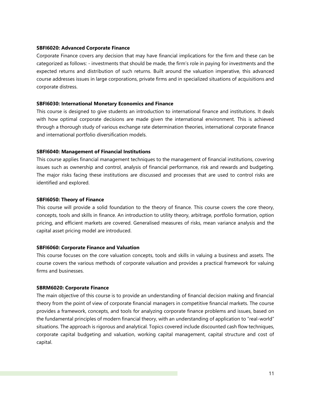#### **SBFI6020: Advanced Corporate Finance**

Corporate Finance covers any decision that may have financial implications for the firm and these can be categorized as follows: - investments that should be made, the firm's role in paying for investments and the expected returns and distribution of such returns. Built around the valuation imperative, this advanced course addresses issues in large corporations, private firms and in specialized situations of acquisitions and corporate distress.

#### **SBFI6030: International Monetary Economics and Finance**

This course is designed to give students an introduction to international finance and institutions. It deals with how optimal corporate decisions are made given the international environment. This is achieved through a thorough study of various exchange rate determination theories, international corporate finance and international portfolio diversification models.

#### **SBFI6040: Management of Financial Institutions**

This course applies financial management techniques to the management of financial institutions, covering issues such as ownership and control, analysis of financial performance, risk and rewards and budgeting. The major risks facing these institutions are discussed and processes that are used to control risks are identified and explored.

#### **SBFI6050: Theory of Finance**

This course will provide a solid foundation to the theory of finance. This course covers the core theory, concepts, tools and skills in finance. An introduction to utility theory, arbitrage, portfolio formation, option pricing, and efficient markets are covered. Generalised measures of risks, mean variance analysis and the capital asset pricing model are introduced.

#### **SBFI6060: Corporate Finance and Valuation**

This course focuses on the core valuation concepts, tools and skills in valuing a business and assets. The course covers the various methods of corporate valuation and provides a practical framework for valuing firms and businesses.

#### **SBRM6020: Corporate Finance**

The main objective of this course is to provide an understanding of financial decision making and financial theory from the point of view of corporate financial managers in competitive financial markets. The course provides a framework, concepts, and tools for analyzing corporate finance problems and issues, based on the fundamental principles of modern financial theory, with an understanding of application to "real-world" situations. The approach is rigorous and analytical. Topics covered include discounted cash flow techniques, corporate capital budgeting and valuation, working capital management, capital structure and cost of capital.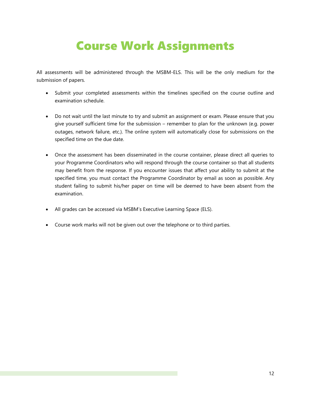# Course Work Assignments

All assessments will be administered through the MSBM-ELS. This will be the only medium for the submission of papers.

- Submit your completed assessments within the timelines specified on the course outline and examination schedule.
- Do not wait until the last minute to try and submit an assignment or exam. Please ensure that you give yourself sufficient time for the submission – remember to plan for the unknown (e.g. power outages, network failure, etc.). The online system will automatically close for submissions on the specified time on the due date.
- Once the assessment has been disseminated in the course container, please direct all queries to your Programme Coordinators who will respond through the course container so that all students may benefit from the response. If you encounter issues that affect your ability to submit at the specified time, you must contact the Programme Coordinator by email as soon as possible. Any student failing to submit his/her paper on time will be deemed to have been absent from the examination.
- All grades can be accessed via MSBM's Executive Learning Space (ELS).
- Course work marks will not be given out over the telephone or to third parties.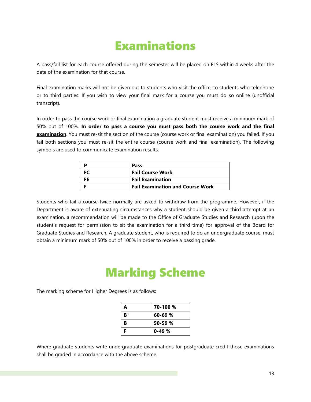# Examinations

A pass/fail list for each course offered during the semester will be placed on ELS within 4 weeks after the date of the examination for that course.

Final examination marks will not be given out to students who visit the office, to students who telephone or to third parties. If you wish to view your final mark for a course you must do so online (unofficial transcript).

In order to pass the course work or final examination a graduate student must receive a minimum mark of 50% out of 100%. **In order to pass a course you must pass both the course work and the final examination**. You must re-sit the section of the course (course work or final examination) you failed. If you fail both sections you must re-sit the entire course (course work and final examination). The following symbols are used to communicate examination results:

| Pass                                    |
|-----------------------------------------|
| <b>Fail Course Work</b>                 |
| <b>Fail Examination</b>                 |
| <b>Fail Examination and Course Work</b> |

Students who fail a course twice normally are asked to withdraw from the programme. However, if the Department is aware of extenuating circumstances why a student should be given a third attempt at an examination, a recommendation will be made to the Office of Graduate Studies and Research (upon the student's request for permission to sit the examination for a third time) for approval of the Board for Graduate Studies and Research. A graduate student, who is required to do an undergraduate course, must obtain a minimum mark of 50% out of 100% in order to receive a passing grade.

# Marking Scheme

The marking scheme for Higher Degrees is as follows:

| А  | 70-100 %    |
|----|-------------|
| B+ | $60 - 69$ % |
| в  | $50 - 59$ % |
| F  | $0-49%$     |

Where graduate students write undergraduate examinations for postgraduate credit those examinations shall be graded in accordance with the above scheme.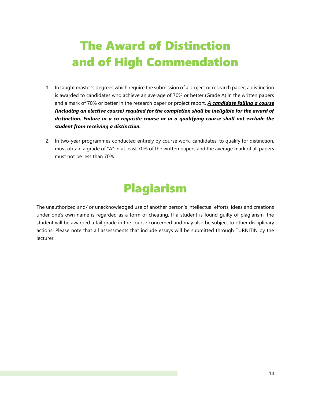# The Award of Distinction and of High Commendation

- 1. In taught master's degrees which require the submission of a project or research paper, a distinction is awarded to candidates who achieve an average of 70% or better (Grade A) in the written papers and a mark of 70% or better in the research paper or project report. *A candidate failing a course (including an elective course) required for the completion shall be ineligible for the award of distinction. Failure in a co-requisite course or in a qualifying course shall not exclude the student from receiving a distinction.*
- 2. In two-year programmes conducted entirely by course work, candidates, to qualify for distinction, must obtain a grade of "A" in at least 70% of the written papers and the average mark of all papers must not be less than 70%.

# Plagiarism

The unauthorized and/ or unacknowledged use of another person's intellectual efforts, ideas and creations under one's own name is regarded as a form of cheating. If a student is found guilty of plagiarism, the student will be awarded a fail grade in the course concerned and may also be subject to other disciplinary actions. Please note that all assessments that include essays will be submitted through TURNITIN by the lecturer.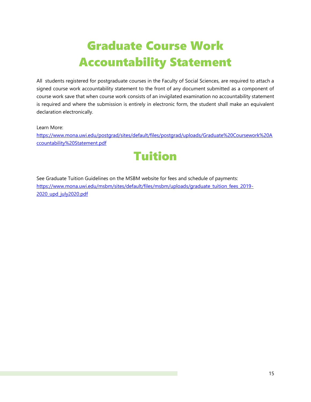# Graduate Course Work Accountability Statement

All students registered for postgraduate courses in the Faculty of Social Sciences, are required to attach a signed course work accountability statement to the front of any document submitted as a component of course work save that when course work consists of an invigilated examination no accountability statement is required and where the submission is entirely in electronic form, the student shall make an equivalent declaration electronically.

Learn More:

[https://www.mona.uwi.edu/postgrad/sites/default/files/postgrad/uploads/Graduate%20Coursework%20A](https://www.mona.uwi.edu/postgrad/sites/default/files/postgrad/uploads/Graduate%20Coursework%20Accountability%20Statement.pdf) [ccountability%20Statement.pdf](https://www.mona.uwi.edu/postgrad/sites/default/files/postgrad/uploads/Graduate%20Coursework%20Accountability%20Statement.pdf)



See Graduate Tuition Guidelines on the MSBM website for fees and schedule of payments: [https://www.mona.uwi.edu/msbm/sites/default/files/msbm/uploads/graduate\\_tuition\\_fees\\_2019-](https://www.mona.uwi.edu/msbm/sites/default/files/msbm/uploads/graduate_tuition_fees_2019-2020_upd_july2020.pdf) [2020\\_upd\\_july2020.pdf](https://www.mona.uwi.edu/msbm/sites/default/files/msbm/uploads/graduate_tuition_fees_2019-2020_upd_july2020.pdf)